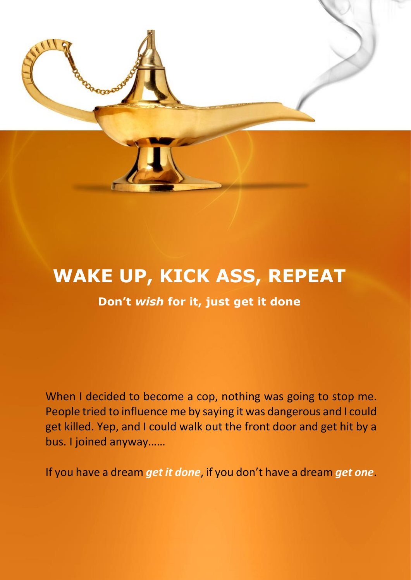

# **WAKE UP, KICK ASS, REPEAT**

#### **Don't** *wish* **for it, just get it done**

When I decided to become a cop, nothing was going to stop me. People tried to influence me by saying it was dangerous and I could get killed. Yep, and I could walk out the front door and get hit by a bus. I joined anyway……

If you have a dream *get it done*, if you don't have a dream *get one*.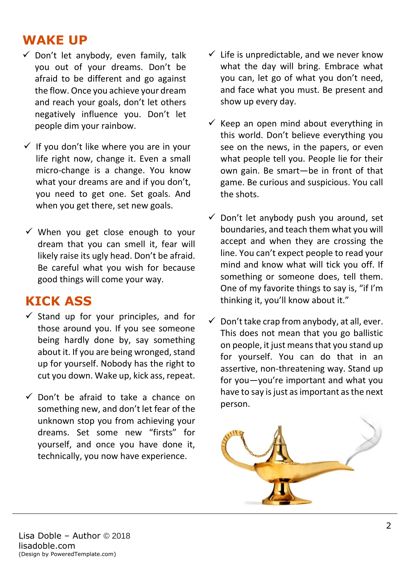### **WAKE UP**

- $\checkmark$  Don't let anybody, even family, talk you out of your dreams. Don't be afraid to be different and go against the flow. Once you achieve your dream and reach your goals, don't let others negatively influence you. Don't let people dim your rainbow.
- $\checkmark$  If you don't like where you are in your life right now, change it. Even a small micro-change is a change. You know what your dreams are and if you don't, you need to get one. Set goals. And when you get there, set new goals.
- $\checkmark$  When you get close enough to your dream that you can smell it, fear will likely raise its ugly head. Don't be afraid. Be careful what you wish for because good things will come your way.

# **KICK ASS**

- $\checkmark$  Stand up for your principles, and for those around you. If you see someone being hardly done by, say something about it. If you are being wronged, stand up for yourself. Nobody has the right to cut you down. Wake up, kick ass, repeat.
- $\checkmark$  Don't be afraid to take a chance on something new, and don't let fear of the unknown stop you from achieving your dreams. Set some new "firsts" for yourself, and once you have done it, technically, you now have experience.
- $\checkmark$  Life is unpredictable, and we never know what the day will bring. Embrace what you can, let go of what you don't need, and face what you must. Be present and show up every day.
- $\checkmark$  Keep an open mind about everything in this world. Don't believe everything you see on the news, in the papers, or even what people tell you. People lie for their own gain. Be smart—be in front of that game. Be curious and suspicious. You call the shots.
- $\checkmark$  Don't let anybody push you around, set boundaries, and teach them what you will accept and when they are crossing the line. You can't expect people to read your mind and know what will tick you off. If something or someone does, tell them. One of my favorite things to say is, "if I'm thinking it, you'll know about it."
- $\checkmark$  Don't take crap from anybody, at all, ever. This does not mean that you go ballistic on people, it just means that you stand up for yourself. You can do that in an assertive, non-threatening way. Stand up for you—you're important and what you have to say is just as important as the next person.